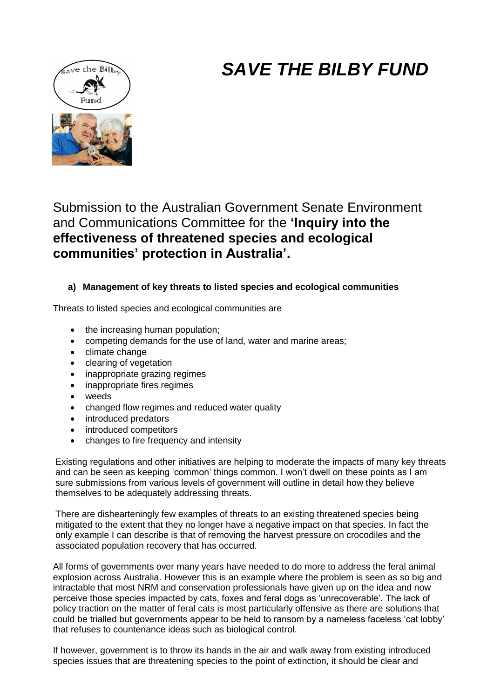# *SAVE THE BILBY FUND*



Submission to the Australian Government Senate Environment and Communications Committee for the **'Inquiry into the effectiveness of threatened species and ecological communities' protection in Australia'.**

## **a) Management of key threats to listed species and ecological communities**

Threats to listed species and ecological communities are

- the increasing human population;
- competing demands for the use of land, water and marine areas;
- climate change
- clearing of vegetation
- inappropriate grazing regimes
- inappropriate fires regimes
- weeds
- changed flow regimes and reduced water quality
- introduced predators
- introduced competitors
- changes to fire frequency and intensity

Existing regulations and other initiatives are helping to moderate the impacts of many key threats and can be seen as keeping 'common' things common. I won't dwell on these points as I am sure submissions from various levels of government will outline in detail how they believe themselves to be adequately addressing threats.

There are dishearteningly few examples of threats to an existing threatened species being mitigated to the extent that they no longer have a negative impact on that species. In fact the only example I can describe is that of removing the harvest pressure on crocodiles and the associated population recovery that has occurred.

All forms of governments over many years have needed to do more to address the feral animal explosion across Australia. However this is an example where the problem is seen as so big and intractable that most NRM and conservation professionals have given up on the idea and now perceive those species impacted by cats, foxes and feral dogs as 'unrecoverable'. The lack of policy traction on the matter of feral cats is most particularly offensive as there are solutions that could be trialled but governments appear to be held to ransom by a nameless faceless 'cat lobby' that refuses to countenance ideas such as biological control.

If however, government is to throw its hands in the air and walk away from existing introduced species issues that are threatening species to the point of extinction, it should be clear and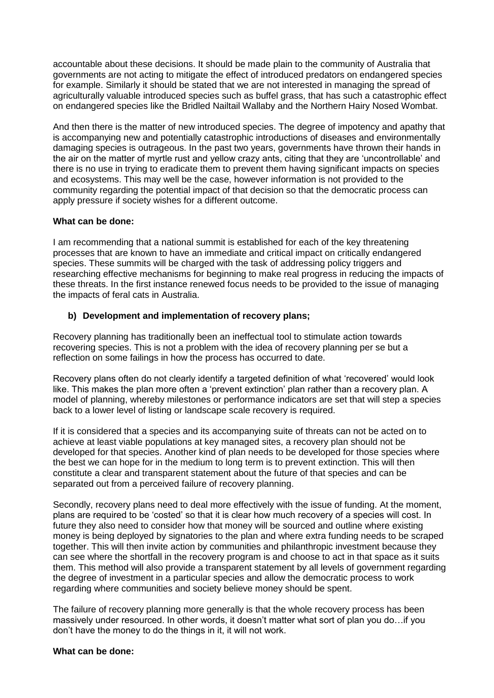accountable about these decisions. It should be made plain to the community of Australia that governments are not acting to mitigate the effect of introduced predators on endangered species for example. Similarly it should be stated that we are not interested in managing the spread of agriculturally valuable introduced species such as buffel grass, that has such a catastrophic effect on endangered species like the Bridled Nailtail Wallaby and the Northern Hairy Nosed Wombat.

And then there is the matter of new introduced species. The degree of impotency and apathy that is accompanying new and potentially catastrophic introductions of diseases and environmentally damaging species is outrageous. In the past two years, governments have thrown their hands in the air on the matter of myrtle rust and yellow crazy ants, citing that they are 'uncontrollable' and there is no use in trying to eradicate them to prevent them having significant impacts on species and ecosystems. This may well be the case, however information is not provided to the community regarding the potential impact of that decision so that the democratic process can apply pressure if society wishes for a different outcome.

#### **What can be done:**

I am recommending that a national summit is established for each of the key threatening processes that are known to have an immediate and critical impact on critically endangered species. These summits will be charged with the task of addressing policy triggers and researching effective mechanisms for beginning to make real progress in reducing the impacts of these threats. In the first instance renewed focus needs to be provided to the issue of managing the impacts of feral cats in Australia.

#### **b) Development and implementation of recovery plans;**

Recovery planning has traditionally been an ineffectual tool to stimulate action towards recovering species. This is not a problem with the idea of recovery planning per se but a reflection on some failings in how the process has occurred to date.

Recovery plans often do not clearly identify a targeted definition of what 'recovered' would look like. This makes the plan more often a 'prevent extinction' plan rather than a recovery plan. A model of planning, whereby milestones or performance indicators are set that will step a species back to a lower level of listing or landscape scale recovery is required.

If it is considered that a species and its accompanying suite of threats can not be acted on to achieve at least viable populations at key managed sites, a recovery plan should not be developed for that species. Another kind of plan needs to be developed for those species where the best we can hope for in the medium to long term is to prevent extinction. This will then constitute a clear and transparent statement about the future of that species and can be separated out from a perceived failure of recovery planning.

Secondly, recovery plans need to deal more effectively with the issue of funding. At the moment, plans are required to be 'costed' so that it is clear how much recovery of a species will cost. In future they also need to consider how that money will be sourced and outline where existing money is being deployed by signatories to the plan and where extra funding needs to be scraped together. This will then invite action by communities and philanthropic investment because they can see where the shortfall in the recovery program is and choose to act in that space as it suits them. This method will also provide a transparent statement by all levels of government regarding the degree of investment in a particular species and allow the democratic process to work regarding where communities and society believe money should be spent.

The failure of recovery planning more generally is that the whole recovery process has been massively under resourced. In other words, it doesn't matter what sort of plan you do…if you don't have the money to do the things in it, it will not work.

#### **What can be done:**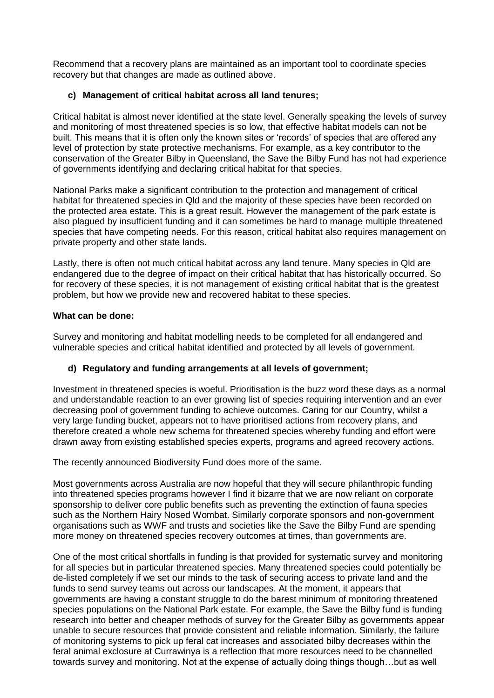Recommend that a recovery plans are maintained as an important tool to coordinate species recovery but that changes are made as outlined above.

#### **c) Management of critical habitat across all land tenures;**

Critical habitat is almost never identified at the state level. Generally speaking the levels of survey and monitoring of most threatened species is so low, that effective habitat models can not be built. This means that it is often only the known sites or 'records' of species that are offered any level of protection by state protective mechanisms. For example, as a key contributor to the conservation of the Greater Bilby in Queensland, the Save the Bilby Fund has not had experience of governments identifying and declaring critical habitat for that species.

National Parks make a significant contribution to the protection and management of critical habitat for threatened species in Qld and the majority of these species have been recorded on the protected area estate. This is a great result. However the management of the park estate is also plagued by insufficient funding and it can sometimes be hard to manage multiple threatened species that have competing needs. For this reason, critical habitat also requires management on private property and other state lands.

Lastly, there is often not much critical habitat across any land tenure. Many species in Qld are endangered due to the degree of impact on their critical habitat that has historically occurred. So for recovery of these species, it is not management of existing critical habitat that is the greatest problem, but how we provide new and recovered habitat to these species.

#### **What can be done:**

Survey and monitoring and habitat modelling needs to be completed for all endangered and vulnerable species and critical habitat identified and protected by all levels of government.

### **d) Regulatory and funding arrangements at all levels of government;**

Investment in threatened species is woeful. Prioritisation is the buzz word these days as a normal and understandable reaction to an ever growing list of species requiring intervention and an ever decreasing pool of government funding to achieve outcomes. Caring for our Country, whilst a very large funding bucket, appears not to have prioritised actions from recovery plans, and therefore created a whole new schema for threatened species whereby funding and effort were drawn away from existing established species experts, programs and agreed recovery actions.

The recently announced Biodiversity Fund does more of the same.

Most governments across Australia are now hopeful that they will secure philanthropic funding into threatened species programs however I find it bizarre that we are now reliant on corporate sponsorship to deliver core public benefits such as preventing the extinction of fauna species such as the Northern Hairy Nosed Wombat. Similarly corporate sponsors and non-government organisations such as WWF and trusts and societies like the Save the Bilby Fund are spending more money on threatened species recovery outcomes at times, than governments are.

One of the most critical shortfalls in funding is that provided for systematic survey and monitoring for all species but in particular threatened species. Many threatened species could potentially be de-listed completely if we set our minds to the task of securing access to private land and the funds to send survey teams out across our landscapes. At the moment, it appears that governments are having a constant struggle to do the barest minimum of monitoring threatened species populations on the National Park estate. For example, the Save the Bilby fund is funding research into better and cheaper methods of survey for the Greater Bilby as governments appear unable to secure resources that provide consistent and reliable information. Similarly, the failure of monitoring systems to pick up feral cat increases and associated bilby decreases within the feral animal exclosure at Currawinya is a reflection that more resources need to be channelled towards survey and monitoring. Not at the expense of actually doing things though…but as well